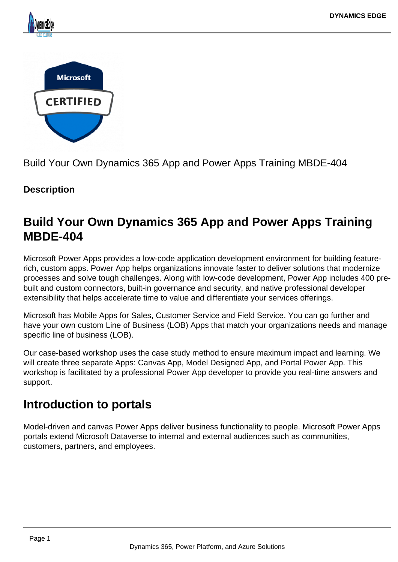



Build Your Own Dynamics 365 App and Power Apps Training MBDE-404

## **Description**

# **Build Your Own Dynamics 365 App and Power Apps Training MBDE-404**

Microsoft Power Apps provides a low-code application development environment for building featurerich, custom apps. Power App helps organizations innovate faster to deliver solutions that modernize processes and solve tough challenges. Along with low-code development, Power App includes 400 prebuilt and custom connectors, built-in governance and security, and native professional developer extensibility that helps accelerate time to value and differentiate your services offerings.

Microsoft has Mobile Apps for Sales, Customer Service and Field Service. You can go further and have your own custom Line of Business (LOB) Apps that match your organizations needs and manage specific line of business (LOB).

Our case-based workshop uses the case study method to ensure maximum impact and learning. We will create three separate Apps: Canvas App, Model Designed App, and Portal Power App. This workshop is facilitated by a professional Power App developer to provide you real-time answers and support.

# **Introduction to portals**

Model-driven and canvas Power Apps deliver business functionality to people. Microsoft Power Apps portals extend Microsoft Dataverse to internal and external audiences such as communities, customers, partners, and employees.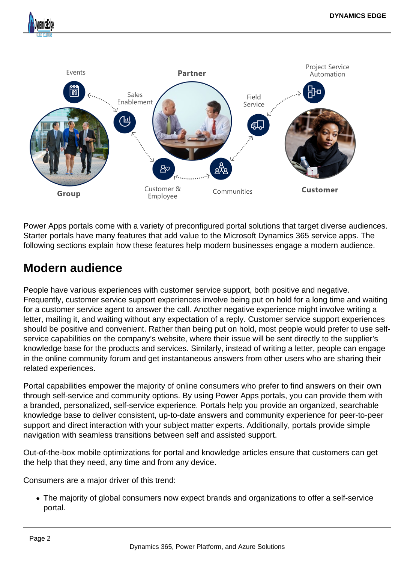

Power Apps portals come with a variety of preconfigured portal solutions that target diverse audiences. Starter portals have many features that add value to the Microsoft Dynamics 365 service apps. The following sections explain how these features help modern businesses engage a modern audience.

# **Modern audience**

People have various experiences with customer service support, both positive and negative. Frequently, customer service support experiences involve being put on hold for a long time and waiting for a customer service agent to answer the call. Another negative experience might involve writing a letter, mailing it, and waiting without any expectation of a reply. Customer service support experiences should be positive and convenient. Rather than being put on hold, most people would prefer to use selfservice capabilities on the company's website, where their issue will be sent directly to the supplier's knowledge base for the products and services. Similarly, instead of writing a letter, people can engage in the online community forum and get instantaneous answers from other users who are sharing their related experiences.

Portal capabilities empower the majority of online consumers who prefer to find answers on their own through self-service and community options. By using Power Apps portals, you can provide them with a branded, personalized, self-service experience. Portals help you provide an organized, searchable knowledge base to deliver consistent, up-to-date answers and community experience for peer-to-peer support and direct interaction with your subject matter experts. Additionally, portals provide simple navigation with seamless transitions between self and assisted support.

Out-of-the-box mobile optimizations for portal and knowledge articles ensure that customers can get the help that they need, any time and from any device.

Consumers are a major driver of this trend:

The majority of global consumers now expect brands and organizations to offer a self-service portal.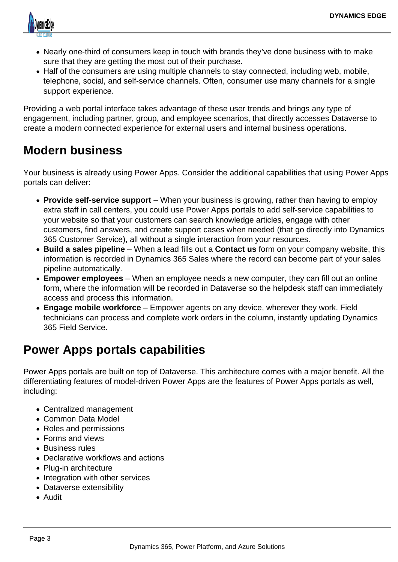

- Nearly one-third of consumers keep in touch with brands they've done business with to make sure that they are getting the most out of their purchase.
- Half of the consumers are using multiple channels to stay connected, including web, mobile, telephone, social, and self-service channels. Often, consumer use many channels for a single support experience.

Providing a web portal interface takes advantage of these user trends and brings any type of engagement, including partner, group, and employee scenarios, that directly accesses Dataverse to create a modern connected experience for external users and internal business operations.

# **Modern business**

Your business is already using Power Apps. Consider the additional capabilities that using Power Apps portals can deliver:

- **Provide self-service support** When your business is growing, rather than having to employ extra staff in call centers, you could use Power Apps portals to add self-service capabilities to your website so that your customers can search knowledge articles, engage with other customers, find answers, and create support cases when needed (that go directly into Dynamics 365 Customer Service), all without a single interaction from your resources.
- **Build a sales pipeline** When a lead fills out a **Contact us** form on your company website, this information is recorded in Dynamics 365 Sales where the record can become part of your sales pipeline automatically.
- **Empower employees** When an employee needs a new computer, they can fill out an online form, where the information will be recorded in Dataverse so the helpdesk staff can immediately access and process this information.
- **Engage mobile workforce** Empower agents on any device, wherever they work. Field technicians can process and complete work orders in the column, instantly updating Dynamics 365 Field Service.

# **Power Apps portals capabilities**

Power Apps portals are built on top of Dataverse. This architecture comes with a major benefit. All the differentiating features of model-driven Power Apps are the features of Power Apps portals as well, including:

- Centralized management
- Common Data Model
- Roles and permissions
- Forms and views
- Business rules
- Declarative workflows and actions
- Plug-in architecture
- Integration with other services
- Dataverse extensibility
- Audit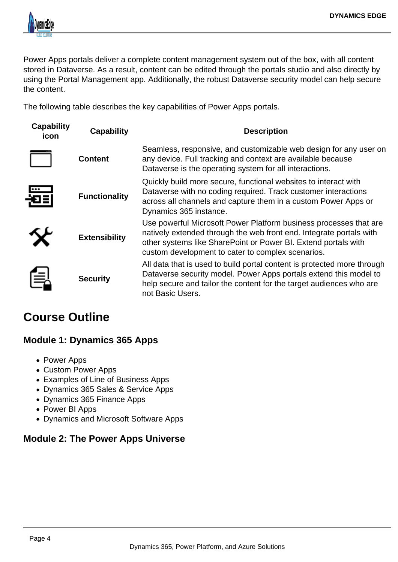

Power Apps portals deliver a complete content management system out of the box, with all content stored in Dataverse. As a result, content can be edited through the portals studio and also directly by using the Portal Management app. Additionally, the robust Dataverse security model can help secure the content.

The following table describes the key capabilities of Power Apps portals.

| <b>Capability</b><br>icon | <b>Capability</b>    | <b>Description</b>                                                                                                                                                                                                                                              |
|---------------------------|----------------------|-----------------------------------------------------------------------------------------------------------------------------------------------------------------------------------------------------------------------------------------------------------------|
|                           | <b>Content</b>       | Seamless, responsive, and customizable web design for any user on<br>any device. Full tracking and context are available because<br>Dataverse is the operating system for all interactions.                                                                     |
|                           | <b>Functionality</b> | Quickly build more secure, functional websites to interact with<br>Dataverse with no coding required. Track customer interactions<br>across all channels and capture them in a custom Power Apps or<br>Dynamics 365 instance.                                   |
|                           | <b>Extensibility</b> | Use powerful Microsoft Power Platform business processes that are<br>natively extended through the web front end. Integrate portals with<br>other systems like SharePoint or Power BI. Extend portals with<br>custom development to cater to complex scenarios. |
| 扂                         | <b>Security</b>      | All data that is used to build portal content is protected more through<br>Dataverse security model. Power Apps portals extend this model to<br>help secure and tailor the content for the target audiences who are<br>not Basic Users.                         |

## **Course Outline**

## **Module 1: Dynamics 365 Apps**

- Power Apps
- Custom Power Apps
- Examples of Line of Business Apps
- Dynamics 365 Sales & Service Apps
- Dynamics 365 Finance Apps
- Power BI Apps
- Dynamics and Microsoft Software Apps

## **Module 2: The Power Apps Universe**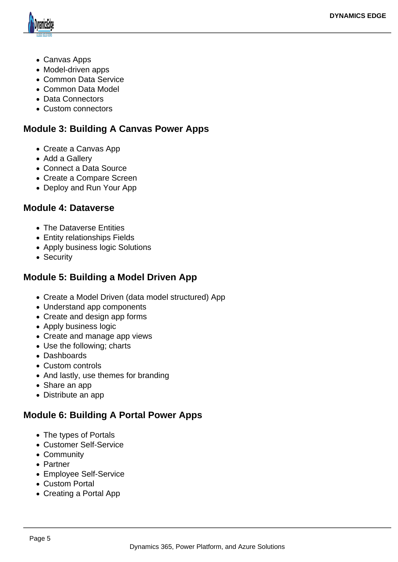

- Canvas Apps
- Model-driven apps
- Common Data Service
- Common Data Model
- Data Connectors
- Custom connectors

## **Module 3: Building A Canvas Power Apps**

- Create a Canvas App
- Add a Gallery
- Connect a Data Source
- Create a Compare Screen
- Deploy and Run Your App

#### **Module 4: Dataverse**

- The Dataverse Entities
- Entity relationships Fields
- Apply business logic Solutions
- Security

### **Module 5: Building a Model Driven App**

- Create a Model Driven (data model structured) App
- Understand app components
- Create and design app forms
- Apply business logic
- Create and manage app views
- Use the following; charts
- Dashboards
- Custom controls
- And lastly, use themes for branding
- Share an app
- Distribute an app

## **Module 6: Building A Portal Power Apps**

- The types of Portals
- Customer Self-Service
- Community
- Partner
- Employee Self-Service
- Custom Portal
- Creating a Portal App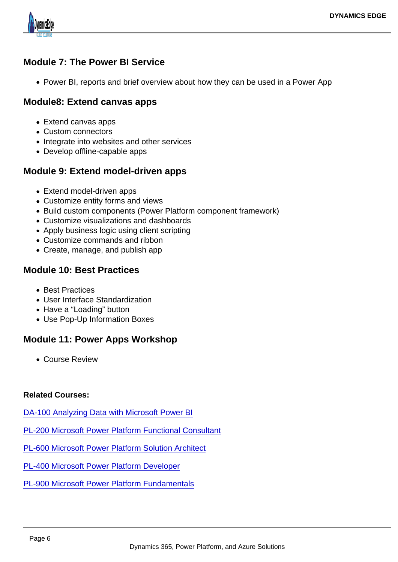Module 7: The Power BI Service

• Power BI, reports and brief overview about how they can be used in a Power App

Module8: Extend canvas apps

- Extend canvas apps
- Custom connectors
- Integrate into websites and other services
- Develop offline-capable apps

Module 9: Extend model-driven apps

- Extend model-driven apps
- Customize entity forms and views
- Build custom components (Power Platform component framework)
- Customize visualizations and dashboards
- Apply business logic using client scripting
- Customize commands and ribbon
- Create, manage, and publish app

#### Module 10: Best Practices

- Best Practices
- User Interface Standardization
- Have a "Loading" button
- Use Pop-Up Information Boxes

#### Module 11: Power Apps Workshop

Course Review

#### Related Courses:

[DA-100 Analyzing Data with Microsoft Power BI](https://www.dynamicsedge.com/product/da-100-analyzing-data-with-power-bi/)

[PL-200 Microsoft Power Platform Functional Consultant](https://www.dynamicsedge.com/product/pl-200-power-platform-developer-and-consultant/)

[PL-600 Microsoft Power Platform Solution Architect](https://www.dynamicsedge.com/product/pl-600-power-platform-solution-architect/)

[PL-400 Microsoft Power Platform Developer](https://www.dynamicsedge.com/product/pl-400-power-platform-advanced-developer-with-visual-studio/)

[PL-900 Microsoft Power Platform Fundamentals](https://www.dynamicsedge.com/product/pl-900-microsoft-power-platform-fundamentals/)